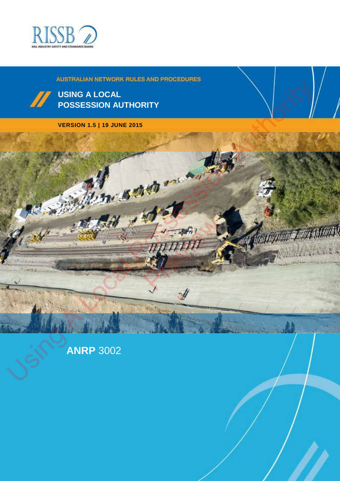



#### **VERSION 1.5 | 19 JUNE 2015**



**ANRP** 3002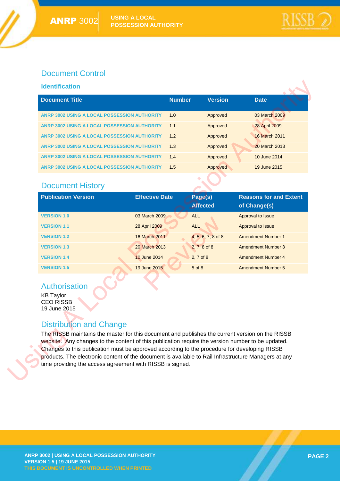#### Document Control

#### **Identification**

| <b>Identification</b>                                                                                                                                                                                                                                                                                                                                                                                                                                                                                                                                                                       |                       |                            |                                               |
|---------------------------------------------------------------------------------------------------------------------------------------------------------------------------------------------------------------------------------------------------------------------------------------------------------------------------------------------------------------------------------------------------------------------------------------------------------------------------------------------------------------------------------------------------------------------------------------------|-----------------------|----------------------------|-----------------------------------------------|
| <b>Document Title</b>                                                                                                                                                                                                                                                                                                                                                                                                                                                                                                                                                                       | <b>Number</b>         | <b>Version</b>             | <b>Date</b>                                   |
| ANRP 3002 USING A LOCAL POSSESSION AUTHORITY                                                                                                                                                                                                                                                                                                                                                                                                                                                                                                                                                | 1.0                   | Approved                   | 03 March 2009                                 |
| ANRP 3002 USING A LOCAL POSSESSION AUTHORITY                                                                                                                                                                                                                                                                                                                                                                                                                                                                                                                                                | 1.1                   | Approved                   | 28 April 2009                                 |
| ANRP 3002 USING A LOCAL POSSESSION AUTHORITY                                                                                                                                                                                                                                                                                                                                                                                                                                                                                                                                                | 1.2                   | Approved                   | <b>16 March 2011</b>                          |
| ANRP 3002 USING A LOCAL POSSESSION AUTHORITY                                                                                                                                                                                                                                                                                                                                                                                                                                                                                                                                                | 1.3                   | Approved                   | 20 March 2013                                 |
| ANRP 3002 USING A LOCAL POSSESSION AUTHORITY                                                                                                                                                                                                                                                                                                                                                                                                                                                                                                                                                | 1.4                   | Approved                   | 10 June 2014                                  |
| ANRP 3002 USING A LOCAL POSSESSION AUTHORITY                                                                                                                                                                                                                                                                                                                                                                                                                                                                                                                                                | 1.5                   | Approved                   | 19 June 2015                                  |
| <b>Document History</b>                                                                                                                                                                                                                                                                                                                                                                                                                                                                                                                                                                     |                       |                            |                                               |
| <b>Publication Version</b>                                                                                                                                                                                                                                                                                                                                                                                                                                                                                                                                                                  | <b>Effective Date</b> | Page(s)<br><b>Affected</b> | <b>Reasons for and Extent</b><br>of Change(s) |
| <b>VERSION 1.0</b>                                                                                                                                                                                                                                                                                                                                                                                                                                                                                                                                                                          | 03 March 2009         | <b>ALL</b>                 | Approval to Issue                             |
| <b>VERSION 1.1</b>                                                                                                                                                                                                                                                                                                                                                                                                                                                                                                                                                                          | 28 April 2009         | <b>ALL</b>                 | Approval to Issue                             |
| <b>VERSION 1.2</b>                                                                                                                                                                                                                                                                                                                                                                                                                                                                                                                                                                          | 16 March 2011         | 4, 5, 6, 7, 8 of 8         | <b>Amendment Number 1</b>                     |
| <b>VERSION 1.3</b>                                                                                                                                                                                                                                                                                                                                                                                                                                                                                                                                                                          | 20 March 2013         | 2, 7.8 of 8                | <b>Amendment Number 3</b>                     |
| <b>VERSION 1.4</b>                                                                                                                                                                                                                                                                                                                                                                                                                                                                                                                                                                          | 10 June 2014          | 2, 7 of 8                  | <b>Amendment Number 4</b>                     |
| <b>VERSION 1.5</b>                                                                                                                                                                                                                                                                                                                                                                                                                                                                                                                                                                          | 19 June 2015          | $5$ of $8$                 | <b>Amendment Number 5</b>                     |
| <b>Authorisation</b><br><b>KB Taylor</b><br><b>CEO RISSB</b><br>19 June 2015<br><b>Distribution and Change</b><br>The RISSB maintains the master for this document and publishes the current version on the RISSB<br>website. Any changes to the content of this publication require the version number to be updated.<br>Changes to this publication must be approved according to the procedure for developing RISSB<br>products. The electronic content of the document is available to Rail Infrastructure Managers at any<br>time providing the access agreement with RISSB is signed. |                       |                            |                                               |

#### Document History

| <b>Publication Version</b> | <b>Effective Date</b> | Page(s)<br><b>Affected</b> | <b>Reasons for and Extent</b><br>of Change(s) |
|----------------------------|-----------------------|----------------------------|-----------------------------------------------|
| <b>VERSION 1.0</b>         | 03 March 2009         | <b>ALL</b>                 | Approval to Issue                             |
| <b>VERSION 1.1</b>         | 28 April 2009         | <b>ALL</b>                 | Approval to Issue                             |
| <b>VERSION 1.2</b>         | 16 March 2011         | 4, 5, 6, 7, 8 of 8         | <b>Amendment Number 1</b>                     |
| <b>VERSION 1.3</b>         | 20 March 2013         | 2, 7, 8 of 8               | <b>Amendment Number 3</b>                     |
| <b>VERSION 1.4</b>         | 10 June 2014          | 2, 7 of 8                  | Amendment Number 4                            |
| <b>VERSION 1.5</b>         | 19 June 2015          | $5$ of $8$                 | Amendment Number 5                            |
| Authorisation              |                       |                            |                                               |

#### **Authorisation**

### Distribution and Change